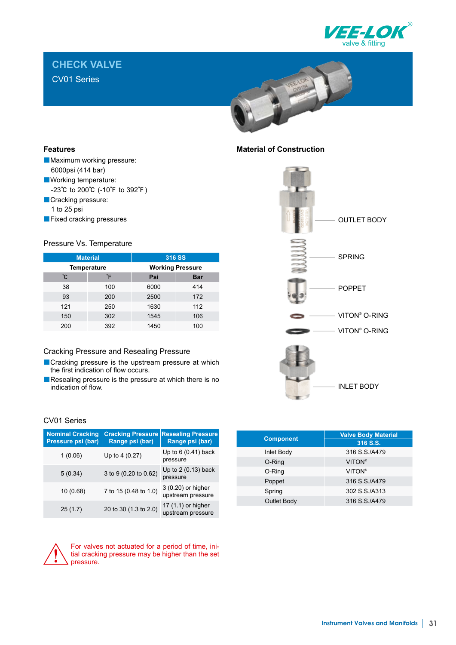

# **CHECK VALVE**

CV01 Series



# **Features**

- Maximum working pressure: 6000psi (414 bar)
- Working temperature:
- -23℃ to 200℃ (-10℉ to 392℉)
- Cracking pressure:
	- 1 to 25 psi
- ■Fixed cracking pressures

#### Pressure Vs. Temperature

| <b>Material</b>    |     | 316 SS                  |            |  |
|--------------------|-----|-------------------------|------------|--|
| <b>Temperature</b> |     | <b>Working Pressure</b> |            |  |
| °С                 | °Ε  | Psi                     | <b>Bar</b> |  |
| 38                 | 100 | 6000                    | 414        |  |
| 93                 | 200 | 2500                    | 172        |  |
| 121                | 250 | 1630                    | 112        |  |
| 150                | 302 | 1545                    | 106        |  |
| 200                | 392 | 1450                    | 100        |  |

#### Cracking Pressure and Resealing Pressure

- Cracking pressure is the upstream pressure at which the first indication of flow occurs.
- ■Resealing pressure is the pressure at which there is no indication of flow.

#### CV01 Series

| <b>Nominal Cracking</b><br>Pressure psi (bar) | <b>Cracking Pressure</b><br>Range psi (bar) | <b>Resealing Pressure</b><br>Range psi (bar) |
|-----------------------------------------------|---------------------------------------------|----------------------------------------------|
| 1(0.06)                                       | Up to 4 (0.27)                              | Up to 6 (0.41) back<br>pressure              |
| 5(0.34)                                       | 3 to 9 (0.20 to 0.62)                       | Up to $2(0.13)$ back<br>pressure             |
| 10 (0.68)                                     | 7 to 15 (0.48 to 1.0)                       | 3 (0.20) or higher<br>upstream pressure      |
| 25(1.7)                                       | 20 to 30 (1.3 to 2.0)                       | 17 (1.1) or higher<br>upstream pressure      |

| <b>Component</b> | <b>Valve Body Material</b> |  |  |
|------------------|----------------------------|--|--|
|                  | 316 S.S.                   |  |  |
| Inlet Body       | 316 S.S./A479              |  |  |
| O-Ring           | <b>VITON®</b>              |  |  |
| O-Ring           | <b>VITON®</b>              |  |  |
| Poppet           | 316 S.S./A479              |  |  |
| Spring           | 302 S.S./A313              |  |  |

Outlet Body 316 S.S./A479



For valves not actuated for a period of time, initial cracking pressure may be higher than the set pressure.

# **Material of Construction**